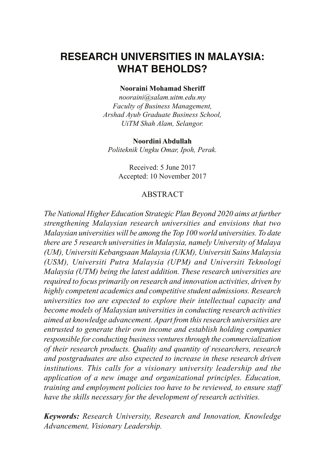# **RESEARCH UNIVERSITIES IN MALAYSIA: WHAT BEHOLDS?**

#### **Nooraini Mohamad Sheriff**

*nooraini@salam.uitm.edu.my Faculty of Business Management, Arshad Ayub Graduate Business School, UiTM Shah Alam, Selangor.*

#### **Noordini Abdullah**

*Politeknik Ungku Omar, Ipoh, Perak.*

Received: 5 June 2017 Accepted: 10 November 2017

### ABSTRACT

*The National Higher Education Strategic Plan Beyond 2020 aims at further strengthening Malaysian research universities and envisions that two Malaysian universities will be among the Top 100 world universities. To date there are 5 research universities in Malaysia, namely University of Malaya (UM), Universiti Kebangsaan Malaysia (UKM), Universiti Sains Malaysia (USM), Universiti Putra Malaysia (UPM) and Universiti Teknologi Malaysia (UTM) being the latest addition. These research universities are required to focus primarily on research and innovation activities, driven by highly competent academics and competitive student admissions. Research universities too are expected to explore their intellectual capacity and become models of Malaysian universities in conducting research activities aimed at knowledge advancement. Apart from this research universities are entrusted to generate their own income and establish holding companies responsible for conducting business ventures through the commercialization of their research products. Quality and quantity of researchers, research and postgraduates are also expected to increase in these research driven institutions. This calls for a visionary university leadership and the application of a new image and organizational principles. Education, training and employment policies too have to be reviewed, to ensure staff have the skills necessary for the development of research activities.*

*Keywords: Research University, Research and Innovation, Knowledge Advancement, Visionary Leadership.*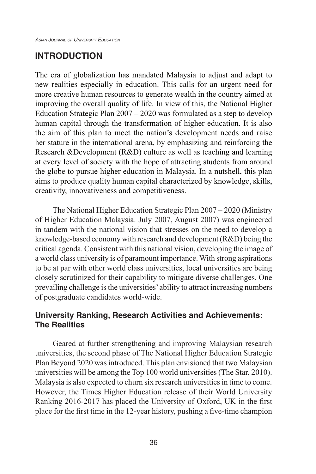# **INTRODUCTION**

The era of globalization has mandated Malaysia to adjust and adapt to new realities especially in education. This calls for an urgent need for more creative human resources to generate wealth in the country aimed at improving the overall quality of life. In view of this, the National Higher Education Strategic Plan  $2007 - 2020$  was formulated as a step to develop human capital through the transformation of higher education. It is also the aim of this plan to meet the nation's development needs and raise her stature in the international arena, by emphasizing and reinforcing the Research &Development (R&D) culture as well as teaching and learning at every level of society with the hope of attracting students from around the globe to pursue higher education in Malaysia. In a nutshell, this plan aims to produce quality human capital characterized by knowledge, skills, creativity, innovativeness and competitiveness.

The National Higher Education Strategic Plan 2007 – 2020 (Ministry of Higher Education Malaysia. July 2007, August 2007) was engineered in tandem with the national vision that stresses on the need to develop a knowledge-based economy with research and development (R&D) being the critical agenda. Consistent with this national vision, developing the image of a world class university is of paramount importance. With strong aspirations to be at par with other world class universities, local universities are being closely scrutinized for their capability to mitigate diverse challenges. One prevailing challenge is the universities' ability to attract increasing numbers of postgraduate candidates world-wide.

### **University Ranking, Research Activities and Achievements: The Realities**

Geared at further strengthening and improving Malaysian research universities, the second phase of The National Higher Education Strategic Plan Beyond 2020 was introduced. This plan envisioned that two Malaysian universities will be among the Top 100 world universities (The Star, 2010). Malaysia is also expected to churn six research universities in time to come. However, the Times Higher Education release of their World University Ranking 2016-2017 has placed the University of Oxford, UK in the first place for the first time in the 12-year history, pushing a five-time champion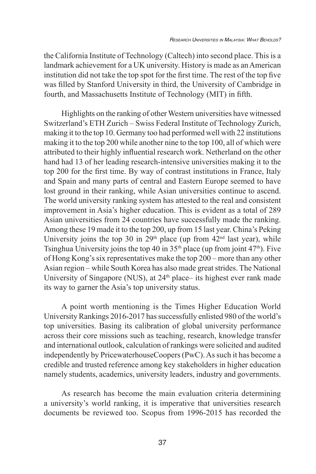the California Institute of Technology (Caltech) into second place. This is a landmark achievement for a UK university. History is made as an American institution did not take the top spot for the first time. The rest of the top five was filled by Stanford University in third, the University of Cambridge in fourth, and Massachusetts Institute of Technology (MIT) in fifth.

Highlights on the ranking of other Western universities have witnessed Switzerland's ETH Zurich – Swiss Federal Institute of Technology Zurich, making it to the top 10. Germany too had performed well with 22 institutions making it to the top 200 while another nine to the top 100, all of which were attributed to their highly influential research work. Netherland on the other hand had 13 of her leading research-intensive universities making it to the top 200 for the first time. By way of contrast institutions in France, Italy and Spain and many parts of central and Eastern Europe seemed to have lost ground in their ranking, while Asian universities continue to ascend. The world university ranking system has attested to the real and consistent improvement in Asia's higher education. This is evident as a total of 289 Asian universities from 24 countries have successfully made the ranking. Among these 19 made it to the top 200, up from 15 last year. China's Peking University joins the top 30 in  $29<sup>th</sup>$  place (up from  $42<sup>nd</sup>$  last year), while Tsinghua University joins the top 40 in  $35<sup>th</sup>$  place (up from joint 47<sup>th</sup>). Five of Hong Kong's six representatives make the top 200 – more than any other Asian region – while South Korea has also made great strides. The National University of Singapore (NUS), at 24<sup>th</sup> place– its highest ever rank made its way to garner the Asia's top university status.

A point worth mentioning is the Times Higher Education World University Rankings 2016-2017 has successfully enlisted 980 of the world's top universities. Basing its calibration of global university performance across their core missions such as teaching, research, knowledge transfer and international outlook, calculation of rankings were solicited and audited independently by PricewaterhouseCoopers (PwC). As such it has become a credible and trusted reference among key stakeholders in higher education namely students, academics, university leaders, industry and governments.

As research has become the main evaluation criteria determining a university's world ranking, it is imperative that universities research documents be reviewed too. Scopus from 1996-2015 has recorded the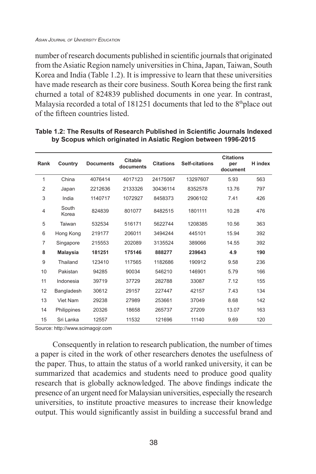number of research documents published in scientific journals that originated from the Asiatic Region namely universities in China, Japan, Taiwan, South Korea and India (Table 1.2). It is impressive to learn that these universities have made research as their core business. South Korea being the first rank churned a total of 824839 published documents in one year. In contrast, Malaysia recorded a total of 181251 documents that led to the 8<sup>th</sup>place out of the fifteen countries listed.

| Rank           | Country         | <b>Documents</b> | <b>Citable</b><br>documents | <b>Citations</b> | <b>Self-citations</b> | <b>Citations</b><br>per<br>document | H index |
|----------------|-----------------|------------------|-----------------------------|------------------|-----------------------|-------------------------------------|---------|
| 1              | China           | 4076414          | 4017123                     | 24175067         | 13297607              | 5.93                                | 563     |
| $\overline{2}$ | Japan           | 2212636          | 2133326                     | 30436114         | 8352578               | 13.76                               | 797     |
| 3              | India           | 1140717          | 1072927                     | 8458373          | 2906102               | 7.41                                | 426     |
| $\overline{4}$ | South<br>Korea  | 824839           | 801077                      | 8482515          | 1801111               | 10.28                               | 476     |
| 5              | Taiwan          | 532534           | 516171                      | 5622744          | 1208385               | 10.56                               | 363     |
| 6              | Hong Kong       | 219177           | 206011                      | 3494244          | 445101                | 15.94                               | 392     |
| $\overline{7}$ | Singapore       | 215553           | 202089                      | 3135524          | 389066                | 14.55                               | 392     |
| 8              | <b>Malaysia</b> | 181251           | 175146                      | 888277           | 239643                | 4.9                                 | 190     |
| 9              | Thailand        | 123410           | 117565                      | 1182686          | 190912                | 9.58                                | 236     |
| 10             | Pakistan        | 94285            | 90034                       | 546210           | 146901                | 5.79                                | 166     |
| 11             | Indonesia       | 39719            | 37729                       | 282788           | 33087                 | 7.12                                | 155     |
| 12             | Bangladesh      | 30612            | 29157                       | 227447           | 42157                 | 7.43                                | 134     |
| 13             | Viet Nam        | 29238            | 27989                       | 253661           | 37049                 | 8.68                                | 142     |
| 14             | Philippines     | 20326            | 18658                       | 265737           | 27209                 | 13.07                               | 163     |
| 15             | Sri Lanka       | 12557            | 11532                       | 121696           | 11140                 | 9.69                                | 120     |

#### **Table 1.2: The Results of Research Published in Scientific Journals Indexed by Scopus which originated in Asiatic Region between 1996-2015**

Source: http://www.scimagojr.com

Consequently in relation to research publication, the number of times a paper is cited in the work of other researchers denotes the usefulness of the paper. Thus, to attain the status of a world ranked university, it can be summarized that academics and students need to produce good quality research that is globally acknowledged. The above findings indicate the presence of an urgent need for Malaysian universities, especially the research universities, to institute proactive measures to increase their knowledge output. This would significantly assist in building a successful brand and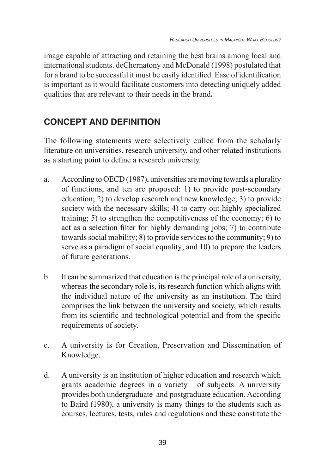image capable of attracting and retaining the best brains among local and international students. deChernatony and McDonald (1998) postulated that for a brand to be successful it must be easily identified. Ease of identification is important as it would facilitate customers into detecting uniquely added qualities that are relevant to their needs in the brand**.**

# **CONCEPT AND DEFINITION**

The following statements were selectively culled from the scholarly literature on universities, research university, and other related institutions as a starting point to define a research university.

- a. According to OECD (1987), universities are moving towards a plurality of functions, and ten are proposed: 1) to provide post-secondary education; 2) to develop research and new knowledge; 3) to provide society with the necessary skills; 4) to carry out highly specialized training; 5) to strengthen the competitiveness of the economy; 6) to act as a selection filter for highly demanding jobs; 7) to contribute towards social mobility; 8) to provide services to the community; 9) to serve as a paradigm of social equality; and 10) to prepare the leaders of future generations.
- b. It can be summarized that education is the principal role of a university, whereas the secondary role is, its research function which aligns with the individual nature of the university as an institution. The third comprises the link between the university and society, which results from its scientific and technological potential and from the specific requirements of society.
- c. A university is for Creation, Preservation and Dissemination of Knowledge.
- d. A university is an institution of higher education and research which grants academic degrees in a variety of subjects. A university provides both undergraduate and postgraduate education. According to Baird (1980), a university is many things to the students such as courses, lectures, tests, rules and regulations and these constitute the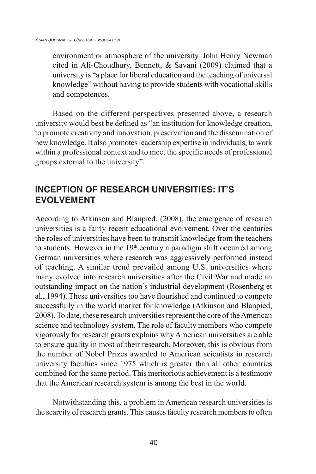environment or atmosphere of the university. John Henry Newman cited in Ali-Choudhury, Bennett, & Savani (2009) claimed that a university is "a place for liberal education and the teaching of universal knowledge" without having to provide students with vocational skills and competences.

Based on the different perspectives presented above, a research university would best be defined as "an institution for knowledge creation, to promote creativity and innovation, preservation and the dissemination of new knowledge. It also promotes leadership expertise in individuals, to work within a professional context and to meet the specific needs of professional groups external to the university".

# **INCEPTION OF RESEARCH UNIVERSITIES: IT'S EVOLVEMENT**

According to Atkinson and Blanpied, (2008), the emergence of research universities is a fairly recent educational evolvement. Over the centuries the roles of universities have been to transmit knowledge from the teachers to students. However in the  $19<sup>th</sup>$  century a paradigm shift occurred among German universities where research was aggressively performed instead of teaching. A similar trend prevailed among U.S. universities where many evolved into research universities after the Civil War and made an outstanding impact on the nation's industrial development (Rosenberg et al*.*, 1994). These universities too have flourished and continued to compete successfully in the world market for knowledge (Atkinson and Blanpied, 2008). To date, these research universities represent the core of the American science and technology system. The role of faculty members who compete vigorously for research grants explains why American universities are able to ensure quality in most of their research. Moreover, this is obvious from the number of Nobel Prizes awarded to American scientists in research university faculties since 1975 which is greater than all other countries combined for the same period. This meritorious achievement is a testimony that the American research system is among the best in the world.

Notwithstanding this, a problem in American research universities is the scarcity of research grants. This causes faculty research members to often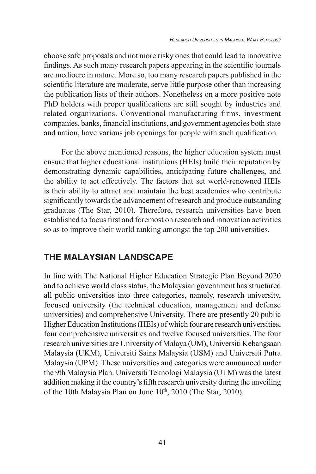choose safe proposals and not more risky ones that could lead to innovative findings. As such many research papers appearing in the scientific journals are mediocre in nature. More so, too many research papers published in the scientific literature are moderate, serve little purpose other than increasing the publication lists of their authors. Nonetheless on a more positive note PhD holders with proper qualifications are still sought by industries and related organizations. Conventional manufacturing firms, investment companies, banks, financial institutions, and government agencies both state and nation, have various job openings for people with such qualification.

For the above mentioned reasons, the higher education system must ensure that higher educational institutions (HEIs) build their reputation by demonstrating dynamic capabilities, anticipating future challenges, and the ability to act effectively. The factors that set world-renowned HEIs is their ability to attract and maintain the best academics who contribute significantly towards the advancement of research and produce outstanding graduates (The Star, 2010). Therefore, research universities have been established to focus first and foremost on research and innovation activities so as to improve their world ranking amongst the top 200 universities.

## **THE MALAYSIAN LANDSCAPE**

In line with The National Higher Education Strategic Plan Beyond 2020 and to achieve world class status, the Malaysian government has structured all public universities into three categories, namely, research university, focused university (the technical education, management and defense universities) and comprehensive University. There are presently 20 public Higher Education Institutions (HEIs) of which four are research universities, four comprehensive universities and twelve focused universities. The four research universities are University of Malaya (UM), Universiti Kebangsaan Malaysia (UKM), Universiti Sains Malaysia (USM) and Universiti Putra Malaysia (UPM). These universities and categories were announced under the 9th Malaysia Plan. Universiti Teknologi Malaysia (UTM) was the latest addition making it the country's fifth research university during the unveiling of the 10th Malaysia Plan on June 10<sup>th</sup>, 2010 (The Star, 2010).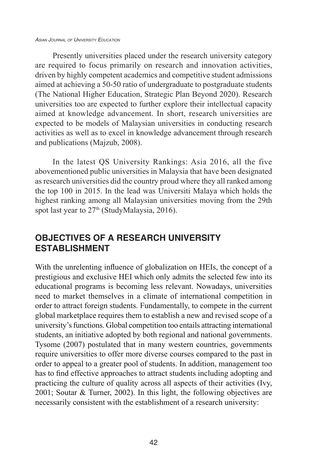#### *Asian Journal of University Education*

Presently universities placed under the research university category are required to focus primarily on research and innovation activities, driven by highly competent academics and competitive student admissions aimed at achieving a 50-50 ratio of undergraduate to postgraduate students (The National Higher Education, Strategic Plan Beyond 2020). Research universities too are expected to further explore their intellectual capacity aimed at knowledge advancement. In short, research universities are expected to be models of Malaysian universities in conducting research activities as well as to excel in knowledge advancement through research and publications (Majzub, 2008).

In the latest QS University Rankings: Asia 2016, all the five abovementioned public universities in Malaysia that have been designated as research universities did the country proud where they all ranked among the top 100 in 2015. In the lead was Universiti Malaya which holds the highest ranking among all Malaysian universities moving from the 29th spot last year to 27<sup>th</sup> (StudyMalaysia, 2016).

## **OBJECTIVES OF A RESEARCH UNIVERSITY ESTABLISHMENT**

With the unrelenting influence of globalization on HEIs, the concept of a prestigious and exclusive HEI which only admits the selected few into its educational programs is becoming less relevant. Nowadays, universities need to market themselves in a climate of international competition in order to attract foreign students. Fundamentally, to compete in the current global marketplace requires them to establish a new and revised scope of a university's functions. Global competition too entails attracting international students, an initiative adopted by both regional and national governments. Tysome (2007) postulated that in many western countries, governments require universities to offer more diverse courses compared to the past in order to appeal to a greater pool of students. In addition, management too has to find effective approaches to attract students including adopting and practicing the culture of quality across all aspects of their activities (Ivy, 2001; Soutar & Turner, 2002). In this light, the following objectives are necessarily consistent with the establishment of a research university: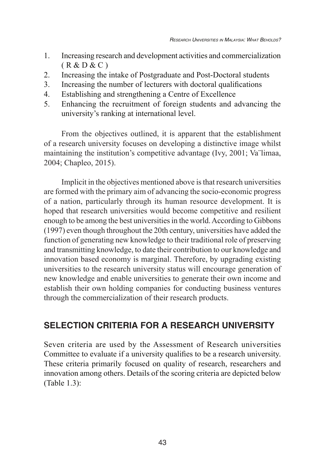- 1. Increasing research and development activities and commercialization  $(R & D & C)$
- 2. Increasing the intake of Postgraduate and Post-Doctoral students
- 3. Increasing the number of lecturers with doctoral qualifications
- 4. Establishing and strengthening a Centre of Excellence
- 5. Enhancing the recruitment of foreign students and advancing the university's ranking at international level.

From the objectives outlined, it is apparent that the establishment of a research university focuses on developing a distinctive image whilst maintaining the institution's competitive advantage (Ivy, 2001; Va¨limaa, 2004; Chapleo, 2015).

Implicit in the objectives mentioned above is that research universities are formed with the primary aim of advancing the socio-economic progress of a nation, particularly through its human resource development. It is hoped that research universities would become competitive and resilient enough to be among the best universities in the world. According to Gibbons (1997) even though throughout the 20th century, universities have added the function of generating new knowledge to their traditional role of preserving and transmitting knowledge, to date their contribution to our knowledge and innovation based economy is marginal. Therefore, by upgrading existing universities to the research university status will encourage generation of new knowledge and enable universities to generate their own income and establish their own holding companies for conducting business ventures through the commercialization of their research products.

## **SELECTION CRITERIA FOR A RESEARCH UNIVERSITY**

Seven criteria are used by the Assessment of Research universities Committee to evaluate if a university qualifies to be a research university. These criteria primarily focused on quality of research, researchers and innovation among others. Details of the scoring criteria are depicted below (Table 1.3):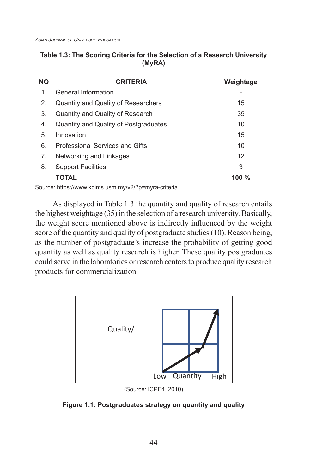| <b>NO</b>   | <b>CRITERIA</b>                       | Weightage |
|-------------|---------------------------------------|-----------|
| $\mathbf 1$ | General Information                   |           |
| 2.          | Quantity and Quality of Researchers   | 15        |
| 3.          | Quantity and Quality of Research      | 35        |
| 4.          | Quantity and Quality of Postgraduates | 10        |
| 5.          | Innovation                            | 15        |
| 6.          | Professional Services and Gifts       | 10        |
| 7.          | Networking and Linkages               | 12        |
| 8.          | <b>Support Facilities</b>             | 3         |
|             | ΤΟΤΑL                                 | 100 $\%$  |

### **Table 1.3: The Scoring Criteria for the Selection of a Research University (MyRA)**

Source: https://www.kpims.usm.my/v2/?p=myra-criteria

As displayed in Table 1.3 the quantity and quality of research entails the highest weightage (35) in the selection of a research university. Basically, the weight score mentioned above is indirectly influenced by the weight score of the quantity and quality of postgraduate studies (10). Reason being, as the number of postgraduate's increase the probability of getting good quantity as well as quality research is higher. These quality postgraduates could serve in the laboratories or research centers to produce quality research products for commercialization.



(Source: ICPE4, 2010)

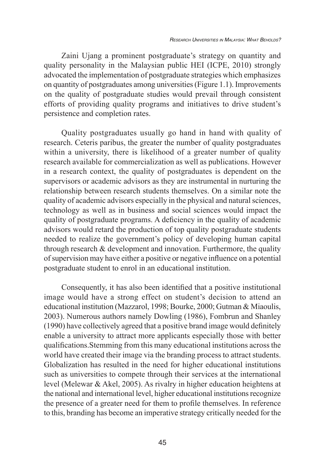Zaini Ujang a prominent postgraduate's strategy on quantity and quality personality in the Malaysian public HEI (ICPE, 2010) strongly advocated the implementation of postgraduate strategies which emphasizes on quantity of postgraduates among universities (Figure 1.1). Improvements on the quality of postgraduate studies would prevail through consistent efforts of providing quality programs and initiatives to drive student's persistence and completion rates.

Quality postgraduates usually go hand in hand with quality of research. Ceteris paribus, the greater the number of quality postgraduates within a university, there is likelihood of a greater number of quality research available for commercialization as well as publications. However in a research context, the quality of postgraduates is dependent on the supervisors or academic advisors as they are instrumental in nurturing the relationship between research students themselves. On a similar note the quality of academic advisors especially in the physical and natural sciences, technology as well as in business and social sciences would impact the quality of postgraduate programs. A deficiency in the quality of academic advisors would retard the production of top quality postgraduate students needed to realize the government's policy of developing human capital through research  $&$  development and innovation. Furthermore, the quality of supervision may have either a positive or negative influence on a potential postgraduate student to enrol in an educational institution.

Consequently, it has also been identified that a positive institutional image would have a strong effect on student's decision to attend an educational institution (Mazzarol, 1998; Bourke, 2000; Gutman & Miaoulis, 2003). Numerous authors namely Dowling (1986), Fombrun and Shanley (1990) have collectively agreed that a positive brand image would definitely enable a university to attract more applicants especially those with better qualifications.Stemming from this many educational institutions across the world have created their image via the branding process to attract students. Globalization has resulted in the need for higher educational institutions such as universities to compete through their services at the international level (Melewar & Akel, 2005). As rivalry in higher education heightens at the national and international level, higher educational institutions recognize the presence of a greater need for them to profile themselves. In reference to this, branding has become an imperative strategy critically needed for the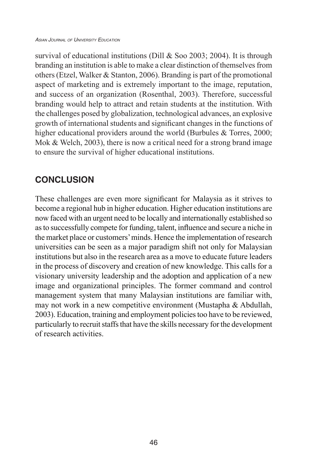#### *Asian Journal of University Education*

survival of educational institutions (Dill & Soo 2003; 2004). It is through branding an institution is able to make a clear distinction of themselves from others (Etzel, Walker & Stanton, 2006). Branding is part of the promotional aspect of marketing and is extremely important to the image, reputation, and success of an organization (Rosenthal, 2003). Therefore, successful branding would help to attract and retain students at the institution. With the challenges posed by globalization, technological advances, an explosive growth of international students and significant changes in the functions of higher educational providers around the world (Burbules & Torres, 2000; Mok & Welch, 2003), there is now a critical need for a strong brand image to ensure the survival of higher educational institutions.

# **CONCLUSION**

These challenges are even more significant for Malaysia as it strives to become a regional hub in higher education. Higher education institutions are now faced with an urgent need to be locally and internationally established so as to successfully compete for funding, talent, influence and secure a niche in the market place or customers' minds. Hence the implementation of research universities can be seen as a major paradigm shift not only for Malaysian institutions but also in the research area as a move to educate future leaders in the process of discovery and creation of new knowledge. This calls for a visionary university leadership and the adoption and application of a new image and organizational principles. The former command and control management system that many Malaysian institutions are familiar with, may not work in a new competitive environment (Mustapha & Abdullah, 2003). Education, training and employment policies too have to be reviewed, particularly to recruit staffs that have the skills necessary for the development of research activities.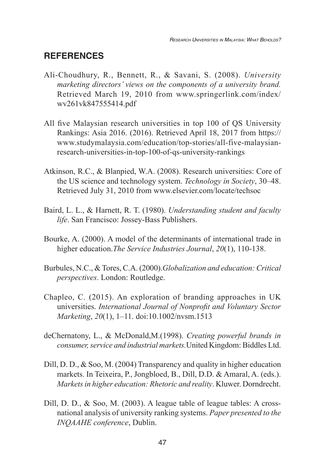### **REFERENCES**

- Ali-Choudhury, R., Bennett, R., & Savani, S. (2008). *University marketing directors' views on the components of a university brand.* Retrieved March 19, 2010 from www.springerlink.com/index/ wv261vk847555414.pdf
- All five Malaysian research universities in top 100 of QS University Rankings: Asia 2016. (2016). Retrieved April 18, 2017 from https:// www.studymalaysia.com/education/top-stories/all-five-malaysianresearch-universities-in-top-100-of-qs-university-rankings
- Atkinson, R.C., & Blanpied, W.A. (2008). Research universities: Core of the US science and technology system. *Technology in Society*, 30–48. Retrieved July 31, 2010 from www.elsevier.com/locate/techsoc
- Baird, L. L., & Harnett, R. T. (1980). *Understanding student and faculty life*. San Francisco: Jossey-Bass Publishers.
- Bourke, A. (2000). A model of the determinants of international trade in higher education.*The Service Industries Journal*, *20*(1), 110-138.
- Burbules, N.C., & Tores, C.A. (2000).*Globalization and education: Critical perspectives*. London: Routledge.
- Chapleo, C. (2015). An exploration of branding approaches in UK universities. *International Journal of Nonprofit and Voluntary Sector Marketing*, *20*(1), 1–11. doi:10.1002/nvsm.1513
- deChernatony, L., & McDonald,M.(1998). *Creating powerful brands in consumer, service and industrial markets.*United Kingdom: Biddles Ltd.
- Dill, D. D., & Soo, M. (2004) Transparency and quality in higher education markets. In Teixeira, P., Jongbloed, B., Dill, D.D. & Amaral, A. (eds.). *Markets in higher education: Rhetoric and reality*. Kluwer. Dorndrecht.
- Dill, D. D.,  $\&$  Soo, M. (2003). A league table of league tables: A crossnational analysis of university ranking systems. *Paper presented to the INQAAHE conference*, Dublin.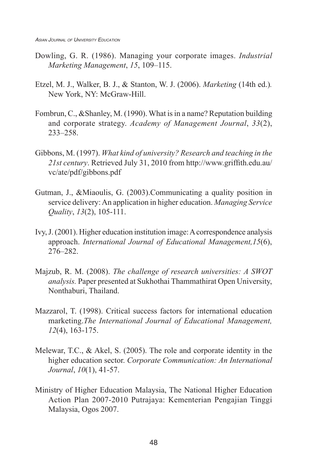- Dowling, G. R. (1986). Managing your corporate images. *Industrial Marketing Management*, *15*, 109–115.
- Etzel, M. J., Walker, B. J., & Stanton, W. J. (2006). *Marketing* (14th ed.)*.*  New York, NY: McGraw-Hill.
- Fombrun, C., &Shanley, M. (1990). What is in a name? Reputation building and corporate strategy. *Academy of Management Journal*, *33*(2), 233–258.
- Gibbons, M. (1997). *What kind of university? Research and teaching in the 21st century*. Retrieved July 31, 2010 from http://www.griffith.edu.au/ vc/ate/pdf/gibbons.pdf
- Gutman, J., &Miaoulis, G. (2003).Communicating a quality position in service delivery: An application in higher education. *Managing Service Quality*, *13*(2), 105-111.
- Ivy, J. (2001). Higher education institution image: A correspondence analysis approach. *International Journal of Educational Management,15*(6), 276–282.
- Majzub, R. M. (2008). *The challenge of research universities: A SWOT analysis.* Paper presented at Sukhothai Thammathirat Open University, Nonthaburi, Thailand.
- Mazzarol, T. (1998). Critical success factors for international education marketing.*The International Journal of Educational Management, 12*(4), 163-175.
- Melewar, T.C., & Akel, S. (2005). The role and corporate identity in the higher education sector. *Corporate Communication: An International Journal*, *10*(1), 41-57.
- Ministry of Higher Education Malaysia, The National Higher Education Action Plan 2007-2010 Putrajaya: Kementerian Pengajian Tinggi Malaysia, Ogos 2007.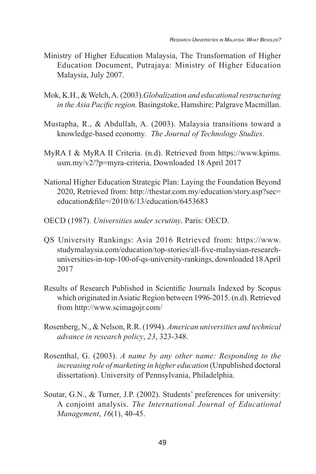- Ministry of Higher Education Malaysia, The Transformation of Higher Education Document, Putrajaya: Ministry of Higher Education Malaysia, July 2007.
- Mok, K.H., & Welch, A. (2003).*Globalization and educational restructuring in the Asia Pacific region.* Basingstoke, Hamshire: Palgrave Macmillan.
- Mustapha, R., & Abdullah, A. (2003). Malaysia transitions toward a knowledge-based economy*. The Journal of Technology Studies*.
- MyRA I & MyRA II Criteria. (n.d). Retrieved from https://www.kpims. usm.my/v2/?p=myra-criteria, Downloaded 18 April 2017
- National Higher Education Strategic Plan: Laying the Foundation Beyond 2020, Retrieved from: http://thestar.com.my/education/story.asp?sec= education&file=/2010/6/13/education/6453683
- OECD (1987). *Universities under scrutiny*. Paris: OECD.
- QS University Rankings: Asia 2016 Retrieved from: https://www. studymalaysia.com/education/top-stories/all-five-malaysian-researchuniversities-in-top-100-of-qs-university-rankings, downloaded 18 April 2017
- Results of Research Published in Scientific Journals Indexed by Scopus which originated in Asiatic Region between 1996-2015. (n.d). Retrieved from http://www.scimagojr.com/
- Rosenberg, N., & Nelson, R.R. (1994). *American universities and technical advance in research policy*, *23*, 323-348.
- Rosenthal, G. (2003). *A name by any other name: Responding to the increasing role of marketing in higher education* (Unpublished doctoral dissertation). University of Pennsylvania, Philadelphia.
- Soutar, G.N., & Turner, J.P. (2002). Students' preferences for university: A conjoint analysis. *The International Journal of Educational Management*, *16*(1), 40-45.